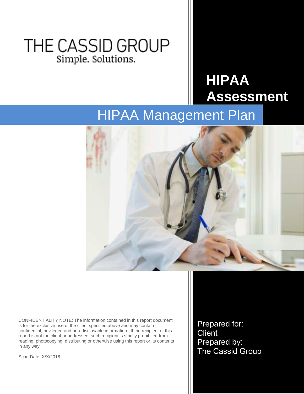### THE CASSID GROUP Simple. Solutions.

# **HIPAA Assessment**

## HIPAA Management Plan



CONFIDENTIALITY NOTE: The information contained in this report document is for the exclusive use of the client specified above and may contain confidential, privileged and non-disclosable information. If the recipient of this report is not the client or addressee, such recipient is strictly prohibited from reading, photocopying, distributing or otherwise using this report or its contents in any way.

Scan Date: X/X/2018

Prepared for: **Client** Prepared by: The Cassid Group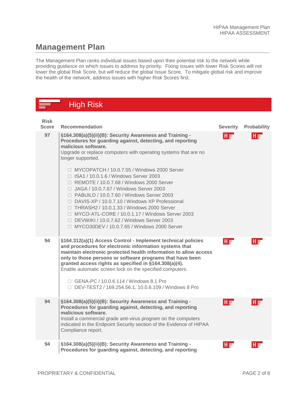#### **Management Plan**

The Management Plan ranks individual issues based upon their potential risk to the network while providing guidance on which issues to address by priority. Fixing issues with lower Risk Scores will not lower the global Risk Score, but will reduce the global Issue Score. To mitigate global risk and improve the health of the network, address issues with higher Risk Scores first.

|                             | <b>High Risk</b>                                                                                                                                                                                                                                                                                                                                                                                                                                                                                                                                                                                                                                                                                                                                           |                 |                    |
|-----------------------------|------------------------------------------------------------------------------------------------------------------------------------------------------------------------------------------------------------------------------------------------------------------------------------------------------------------------------------------------------------------------------------------------------------------------------------------------------------------------------------------------------------------------------------------------------------------------------------------------------------------------------------------------------------------------------------------------------------------------------------------------------------|-----------------|--------------------|
| <b>Risk</b><br><b>Score</b> | <b>Recommendation</b>                                                                                                                                                                                                                                                                                                                                                                                                                                                                                                                                                                                                                                                                                                                                      | <b>Severity</b> | <b>Probability</b> |
| 97                          | §164.308(a)(5)(ii)(B): Security Awareness and Training -<br>Procedures for guarding against, detecting, and reporting<br>malicious software.<br>Upgrade or replace computers with operating systems that are no<br>longer supported.<br>$\Box$ MYCOPATCH / 10.0.7.55 / Windows 2000 Server<br>□ ISA1 / 10.0.1.6 / Windows Server 2003<br>$\Box$ REMOTE / 10.0.7.68 / Windows 2000 Server<br>□ JAGA / 10.0.7.67 / Windows Server 2003<br>□ PABUILD / 10.0.7.60 / Windows Server 2003<br>□ DAVIS-XP / 10.0.7.10 / Windows XP Professional<br>$\Box$ THRASH2 / 10.0.1.33 / Windows 2000 Server<br>$\Box$ MYCO-ATL-CORE / 10.0.1.17 / Windows Server 2003<br>□ DEVWIKI / 10.0.7.62 / Windows Server 2003<br>$\Box$ MYCO30DEV / 10.0.7.65 / Windows 2000 Server | IH w            |                    |
| 94                          | §164.312(a)(1) Access Control - Implement technical policies<br>and procedures for electronic information systems that<br>maintain electronic protected health information to allow access<br>only to those persons or software programs that have been<br>granted access rights as specified in §164.308(a)(4).<br>Enable automatic screen lock on the specified computers.<br>□ GENA-PC / 10.0.6.114 / Windows 8.1 Pro<br>□ DEV-TEST2 / 169.254.56.1, 10.0.6.109 / Windows 8 Pro                                                                                                                                                                                                                                                                         | HE              | Ho                 |
| 94                          | §164.308(a)(5)(ii)(B): Security Awareness and Training -<br>Procedures for guarding against, detecting, and reporting<br>malicious software.<br>Install a commercial grade anti-virus program on the computers<br>indicated in the Endpoint Security section of the Evidence of HIPAA<br>Compliance report.                                                                                                                                                                                                                                                                                                                                                                                                                                                | HE              | Ho                 |
| 94                          | §164.308(a)(5)(ii)(B): Security Awareness and Training -<br>Procedures for guarding against, detecting, and reporting                                                                                                                                                                                                                                                                                                                                                                                                                                                                                                                                                                                                                                      |                 |                    |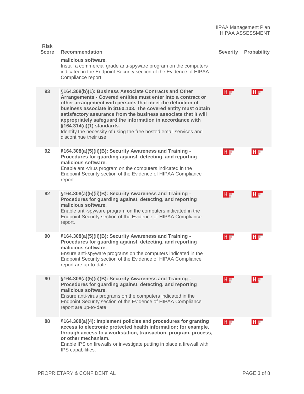| <b>Risk</b><br><b>Score</b> | <b>Recommendation</b>                                                                                                                                                                                                                                                                                                                                                                                                                                                                                                  | <b>Severity</b> | <b>Probability</b> |
|-----------------------------|------------------------------------------------------------------------------------------------------------------------------------------------------------------------------------------------------------------------------------------------------------------------------------------------------------------------------------------------------------------------------------------------------------------------------------------------------------------------------------------------------------------------|-----------------|--------------------|
|                             | malicious software.<br>Install a commercial grade anti-spyware program on the computers<br>indicated in the Endpoint Security section of the Evidence of HIPAA<br>Compliance report.                                                                                                                                                                                                                                                                                                                                   |                 |                    |
| 93                          | §164.308(b)(1): Business Associate Contracts and Other<br>Arrangements - Covered entities must enter into a contract or<br>other arrangement with persons that meet the definition of<br>business associate in \$160.103. The covered entity must obtain<br>satisfactory assurance from the business associate that it will<br>appropriately safeguard the information in accordance with<br>§164.314(a)(1) standards.<br>Identify the necessity of using the free hosted email services and<br>discontinue their use. | HF              | HF                 |
| 92                          | §164.308(a)(5)(ii)(B): Security Awareness and Training -<br>Procedures for guarding against, detecting, and reporting<br>malicious software.<br>Enable anti-virus program on the computers indicated in the<br>Endpoint Security section of the Evidence of HIPAA Compliance<br>report.                                                                                                                                                                                                                                | HF              | HF                 |
| 92                          | §164.308(a)(5)(ii)(B): Security Awareness and Training -<br>Procedures for guarding against, detecting, and reporting<br>malicious software.<br>Enable anti-spyware program on the computers indicated in the<br>Endpoint Security section of the Evidence of HIPAA Compliance<br>report.                                                                                                                                                                                                                              | HF              | HE                 |
| 90                          | §164.308(a)(5)(ii)(B): Security Awareness and Training -<br>Procedures for guarding against, detecting, and reporting<br>malicious software.<br>Ensure anti-spyware programs on the computers indicated in the<br>Endpoint Security section of the Evidence of HIPAA Compliance<br>report are up-to-date.                                                                                                                                                                                                              | HE              | HF                 |
| 90                          | §164.308(a)(5)(ii)(B): Security Awareness and Training -<br>Procedures for guarding against, detecting, and reporting<br>malicious software.<br>Ensure anti-virus programs on the computers indicated in the<br>Endpoint Security section of the Evidence of HIPAA Compliance<br>report are up-to-date.                                                                                                                                                                                                                | Ho              |                    |
| 88                          | §164.308(a)(4): Implement policies and procedures for granting<br>access to electronic protected health information; for example,<br>through access to a workstation, transaction, program, process,<br>or other mechanism.<br>Enable IPS on firewalls or investigate putting in place a firewall with<br>IPS capabilities.                                                                                                                                                                                            | H               | Ho                 |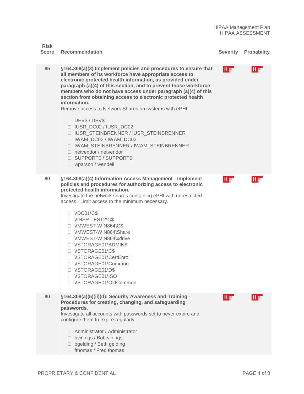| <b>Risk</b><br><b>Score</b> | <b>Recommendation</b>                                                                                                                                                                                                                                                                                                                                                                                                                                                                                                                                                                                                                                                                                                         | <b>Severity</b> | <b>Probability</b> |
|-----------------------------|-------------------------------------------------------------------------------------------------------------------------------------------------------------------------------------------------------------------------------------------------------------------------------------------------------------------------------------------------------------------------------------------------------------------------------------------------------------------------------------------------------------------------------------------------------------------------------------------------------------------------------------------------------------------------------------------------------------------------------|-----------------|--------------------|
| 85                          | §164.308(a)(3) Implement policies and procedures to ensure that<br>all members of its workforce have appropriate access to<br>electronic protected health information, as provided under<br>paragraph (a)(4) of this section, and to prevent those workforce<br>members who do not have access under paragraph (a)(4) of this<br>section from obtaining access to electronic protected health<br>information.<br>Remove access to Network Shares on systems with ePHI.<br>DEV\$/DEV\$<br>□ IUSR_DC02 / IUSR_DC02<br>□ IUSR_STEINBRENNER / IUSR_STEINBRENNER<br>□ IWAM_DC02 / IWAM_DC02<br><b>IWAM STEINBRENNER / IWAM STEINBRENNER</b><br>$\Box$ netvendor / netvendor<br>□ SUPPORT\$ / SUPPORT\$<br>$\Box$ wparson / wendell | HF              | HF                 |
| 80                          | §164.308(a)(4) Information Access Management - Implement<br>policies and procedures for authorizing access to electronic<br>protected health information.<br>Investigate the network shares containing ePHI with unrestricted<br>access. Limit access to the minimum necessary.<br>$\Box$ \\DC01\C\$<br>INISP-TEST2\C\$<br>INMWEST-WIN864\C\$<br>□ \\MWEST-WIN864\Share<br>□ \\MWEST-WIN864\xdrive<br>□ \\STORAGE01\ADMIN\$<br>□ \\STORAGE01\C\$<br>□ \\STORAGE01\CertEnroll<br>□ \\STORAGE01\Common<br>□ \\STORAGE01\D\$<br>INSTORAGE01\ISO<br>□ \\STORAGE01\OldCommon                                                                                                                                                       | HF              | HF                 |
| 80                          | §164.308(a)(5)(ii)(d): Security Awareness and Training -<br>Procedures for creating, changing, and safeguarding<br>passwords.<br>Investigate all accounts with passwords set to never expire and<br>configure them to expire regularly.<br>$\Box$ Administrator / Administrator<br>$\Box$ bvinings / Bob vinings<br>$\Box$ bgelding / Beth gelding<br>$\Box$ fthomas / Fred thomas                                                                                                                                                                                                                                                                                                                                            | HF              | HF                 |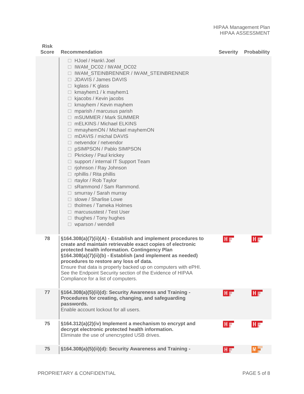| <b>Risk</b><br><b>Score</b> | <b>Recommendation</b>                                                                                                                                                                                                                                                                                                                                                                                                                                                                                                                                                                                                                                                                                                                                                                                                                                                                              | <b>Severity</b> | <b>Probability</b> |
|-----------------------------|----------------------------------------------------------------------------------------------------------------------------------------------------------------------------------------------------------------------------------------------------------------------------------------------------------------------------------------------------------------------------------------------------------------------------------------------------------------------------------------------------------------------------------------------------------------------------------------------------------------------------------------------------------------------------------------------------------------------------------------------------------------------------------------------------------------------------------------------------------------------------------------------------|-----------------|--------------------|
|                             | $\Box$ HJoel / Hank\ Joel<br>□ IWAM_DC02 / IWAM_DC02<br>□ IWAM_STEINBRENNER / IWAM_STEINBRENNER<br>$\Box$ JDAVIS / James DAVIS<br>$\Box$ kglass / K glass<br>$\Box$ kmayhem1 / k mayhem1<br>$\Box$ kjacobs / Kevin jacobs<br>$\Box$ kmayhem / Kevin mayhem<br>$\Box$ mparish / marcusus parish<br>□ mSUMMER / Mark SUMMER<br>□ mELKINS / Michael ELKINS<br>$\Box$ mmayhemON / Michael mayhemON<br>$\Box$ mDAVIS / michal DAVIS<br>$\Box$ netvendor / netvendor<br>□ pSIMPSON / Pablo SIMPSON<br>□ Pkrickey / Paul krickey<br>□ support / internal IT Support Team<br>$\Box$ rjohnson / Ray Johnson<br>$\Box$ rphillis / Rita phillis<br>$\Box$ rtaylor / Rob Taylor<br>□ sRammond / Sam Rammond.<br>$\Box$ smurray / Sarah murray<br>$\Box$ slowe / Sharlise Lowe<br>$\Box$ tholmes / Tameka Holmes<br>$\Box$ marcusustest / Test User<br>$\Box$ thughes / Tony hughes<br>$\Box$ wparson / wendell |                 |                    |
| 78                          | §164.308(a)(7)(ii)(A) - Establish and implement procedures to<br>create and maintain retrievable exact copies of electronic<br>protected health information. Contingency Plan<br>§164.308(a)(7)(ii)(b) - Establish (and implement as needed)<br>procedures to restore any loss of data.<br>Ensure that data is properly backed up on computers with ePHI.<br>See the Endpoint Security section of the Evidence of HIPAA<br>Compliance for a list of computers.                                                                                                                                                                                                                                                                                                                                                                                                                                     | HF              | HF                 |
| 77                          | §164.308(a)(5)(ii)(d): Security Awareness and Training -<br>Procedures for creating, changing, and safeguarding<br>passwords.<br>Enable account lockout for all users.                                                                                                                                                                                                                                                                                                                                                                                                                                                                                                                                                                                                                                                                                                                             | HF.             | HF                 |
| 75                          | §164.312(a)(2)(iv) Implement a mechanism to encrypt and<br>decrypt electronic protected health information.<br>Eliminate the use of unencrypted USB drives.                                                                                                                                                                                                                                                                                                                                                                                                                                                                                                                                                                                                                                                                                                                                        | HF              | HF                 |
| 75                          | §164.308(a)(5)(ii)(d): Security Awareness and Training -                                                                                                                                                                                                                                                                                                                                                                                                                                                                                                                                                                                                                                                                                                                                                                                                                                           | HF              | $M =$              |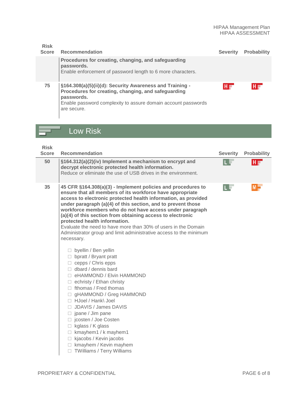| <b>Risk</b><br><b>Score</b> | <b>Recommendation</b>                                                                                                                                                                                         | <b>Severity</b> | <b>Probability</b> |
|-----------------------------|---------------------------------------------------------------------------------------------------------------------------------------------------------------------------------------------------------------|-----------------|--------------------|
|                             | Procedures for creating, changing, and safeguarding<br>passwords.<br>Enable enforcement of password length to 6 more characters.                                                                              |                 |                    |
| 75                          | §164.308(a)(5)(ii)(d): Security Awareness and Training -<br>Procedures for creating, changing, and safeguarding<br>passwords.<br>Enable password complexity to assure domain account passwords<br>are secure. | H∎              |                    |

#### Low Risk

| <b>Risk</b><br><b>Score</b> | <b>Recommendation</b>                                                                                                                                                                                                                                                                                                                                                                                                                                                                                                                                                                                                                                                                                                                                                                                                                                                                                                                                                                                                                            | <b>Severity</b> | <b>Probability</b> |
|-----------------------------|--------------------------------------------------------------------------------------------------------------------------------------------------------------------------------------------------------------------------------------------------------------------------------------------------------------------------------------------------------------------------------------------------------------------------------------------------------------------------------------------------------------------------------------------------------------------------------------------------------------------------------------------------------------------------------------------------------------------------------------------------------------------------------------------------------------------------------------------------------------------------------------------------------------------------------------------------------------------------------------------------------------------------------------------------|-----------------|--------------------|
| 50                          | §164.312(a)(2)(iv) Implement a mechanism to encrypt and<br>decrypt electronic protected health information.<br>Reduce or eliminate the use of USB drives in the environment.                                                                                                                                                                                                                                                                                                                                                                                                                                                                                                                                                                                                                                                                                                                                                                                                                                                                     |                 | H∎                 |
| 35                          | 45 CFR §164.308(a)(3) - Implement policies and procedures to<br>ensure that all members of its workforce have appropriate<br>access to electronic protected health information, as provided<br>under paragraph (a)(4) of this section, and to prevent those<br>workforce members who do not have access under paragraph<br>(a)(4) of this section from obtaining access to electronic<br>protected health information.<br>Evaluate the need to have more than 30% of users in the Domain<br>Administrator group and limit administrative access to the minimum<br>necessary.<br>$\Box$ byellin / Ben yellin<br>bpratt / Bryant pratt<br>П.<br>$\Box$ cepps / Chris epps<br>$\Box$ dbard / dennis bard<br>□ eHAMMOND / Elvin HAMMOND<br>$\Box$ echristy / Ethan christy<br>$\Box$ fthomas / Fred thomas<br>gHAMMOND / Greg HAMMOND<br>П<br>□ HJoel / Hank\ Joel<br>$\Box$ JDAVIS / James DAVIS<br>$\Box$ jpane / Jim pane<br>□ jcosten / Joe Costen<br>kglass / K glass<br>$\Box$<br>$\Box$ kmayhem1 / k mayhem1<br>$\Box$ kjacobs / Kevin jacobs | Œ               | $M =$              |

□ kmayhem / Kevin mayhem □ TWilliams / Terry Williams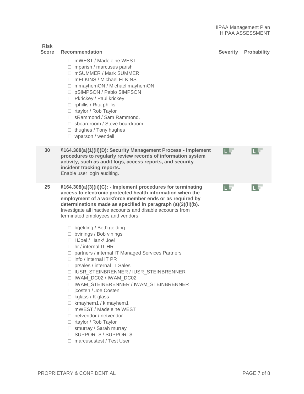| <b>Risk</b><br><b>Score</b> | <b>Recommendation</b>                                                                                                                                                                                                                                                                                                                                                                                                                                                                                                                                                                                                                                                                                                                                                                                                                                                                                                                                                                                  | <b>Severity</b> | <b>Probability</b> |
|-----------------------------|--------------------------------------------------------------------------------------------------------------------------------------------------------------------------------------------------------------------------------------------------------------------------------------------------------------------------------------------------------------------------------------------------------------------------------------------------------------------------------------------------------------------------------------------------------------------------------------------------------------------------------------------------------------------------------------------------------------------------------------------------------------------------------------------------------------------------------------------------------------------------------------------------------------------------------------------------------------------------------------------------------|-----------------|--------------------|
|                             | $\Box$ mWEST / Madeleine WEST<br>$\Box$ mparish / marcusus parish<br>□ mSUMMER / Mark SUMMER<br>mELKINS / Michael ELKINS<br>mmayhemON / Michael mayhemON<br>□ pSIMPSON / Pablo SIMPSON<br>□ Pkrickey / Paul krickey<br>$\Box$ rphillis / Rita phillis<br>$\Box$ rtaylor / Rob Taylor<br>□ sRammond / Sam Rammond.<br>□ sboardroom / Steve boardroom<br>$\Box$ thughes / Tony hughes<br>$\Box$ wparson / wendell                                                                                                                                                                                                                                                                                                                                                                                                                                                                                                                                                                                        |                 |                    |
| 30                          | §164.308(a)(1)(ii)(D): Security Management Process - Implement<br>procedures to regularly review records of information system<br>activity, such as audit logs, access reports, and security<br>incident tracking reports.<br>Enable user login auditing.                                                                                                                                                                                                                                                                                                                                                                                                                                                                                                                                                                                                                                                                                                                                              | L E             |                    |
| 25                          | §164.308(a)(3)(ii)(C): - Implement procedures for terminating<br>access to electronic protected health information when the<br>employment of a workforce member ends or as required by<br>determinations made as specified in paragraph (a)(3)(ii)(b).<br>Investigate all inactive accounts and disable accounts from<br>terminated employees and vendors.<br>$\Box$ bgelding / Beth gelding<br>$\Box$ bvinings / Bob vinings<br>□ HJoel / Hank\ Joel<br>$\Box$ hr / internal IT HR<br>□ partners / internal IT Managed Services Partners<br>$\Box$ info / internal IT PR<br>prsales / internal IT Sales<br>П.<br>□ IUSR_STEINBRENNER / IUSR_STEINBRENNER<br>□ IWAM_DC02 / IWAM_DC02<br>□ IWAM_STEINBRENNER / IWAM_STEINBRENNER<br>□ jcosten / Joe Costen<br>$\Box$ kglass / K glass<br>$\Box$ kmayhem1 / k mayhem1<br>mWEST / Madeleine WEST<br>$\Box$ netvendor / netvendor<br>$\Box$ rtaylor / Rob Taylor<br>$\Box$ smurray / Sarah murray<br>□ SUPPORT\$ / SUPPORT\$<br>□ marcusustest / Test User | LЕ              |                    |